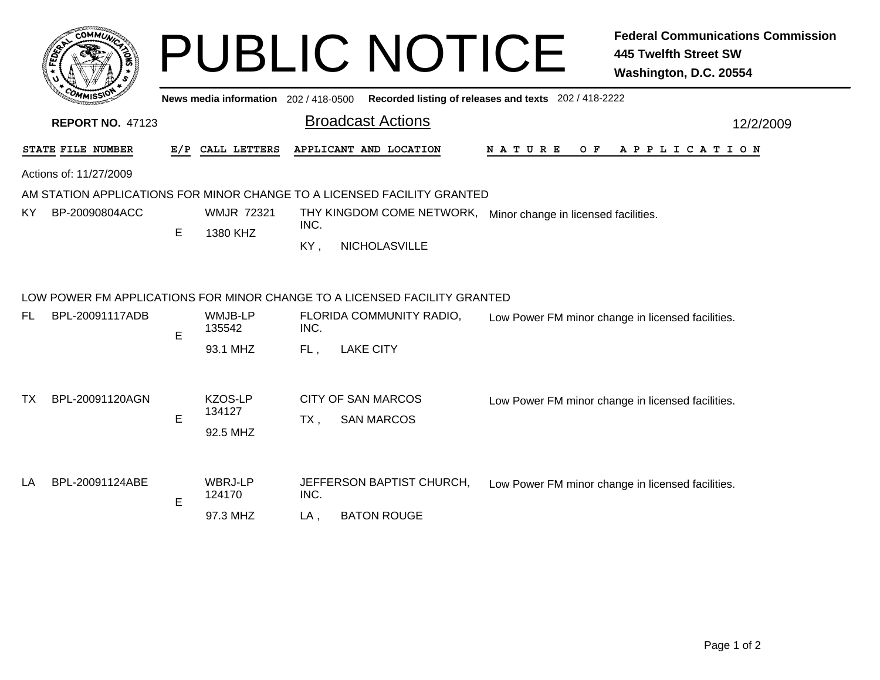|              | <b>COMMUNI</b> |
|--------------|----------------|
| <b>FEDET</b> | ¢.<br>٠        |
|              |                |
|              | $c_{O}$<br>n   |
|              | MISS\          |

## PUBLIC NOTICE **Federal Communications Commission 445 Twelfth Street SW Washington, D.C. 20554**

**News media information** 202 / 418-0500**Recorded listing of releases and texts** 202 / 418-2222

|     | macament<br><b>REPORT NO. 47123</b> |                                         |                   |                   |                                                                           |                                                                |                                                   |  |  |     |  |  |  |                       |  |  |  | 12/2/2009 |  |  |  |
|-----|-------------------------------------|-----------------------------------------|-------------------|-------------------|---------------------------------------------------------------------------|----------------------------------------------------------------|---------------------------------------------------|--|--|-----|--|--|--|-----------------------|--|--|--|-----------|--|--|--|
|     | STATE FILE NUMBER                   |                                         | E/P CALL LETTERS  |                   | APPLICANT AND LOCATION                                                    | N A T U R E                                                    |                                                   |  |  | O F |  |  |  | A P P L I C A T I O N |  |  |  |           |  |  |  |
|     | Actions of: 11/27/2009              |                                         |                   |                   |                                                                           |                                                                |                                                   |  |  |     |  |  |  |                       |  |  |  |           |  |  |  |
|     |                                     |                                         |                   |                   | AM STATION APPLICATIONS FOR MINOR CHANGE TO A LICENSED FACILITY GRANTED   |                                                                |                                                   |  |  |     |  |  |  |                       |  |  |  |           |  |  |  |
| KY. | BP-20090804ACC                      |                                         | <b>WMJR 72321</b> |                   |                                                                           | THY KINGDOM COME NETWORK, Minor change in licensed facilities. |                                                   |  |  |     |  |  |  |                       |  |  |  |           |  |  |  |
|     |                                     | E                                       | 1380 KHZ          | INC.              |                                                                           |                                                                |                                                   |  |  |     |  |  |  |                       |  |  |  |           |  |  |  |
|     |                                     |                                         |                   | KY,               | NICHOLASVILLE                                                             |                                                                |                                                   |  |  |     |  |  |  |                       |  |  |  |           |  |  |  |
|     |                                     |                                         |                   |                   | LOW POWER FM APPLICATIONS FOR MINOR CHANGE TO A LICENSED FACILITY GRANTED |                                                                |                                                   |  |  |     |  |  |  |                       |  |  |  |           |  |  |  |
| FL  | BPL-20091117ADB                     |                                         | E                 | WMJB-LP<br>135542 | INC.                                                                      | FLORIDA COMMUNITY RADIO,                                       | Low Power FM minor change in licensed facilities. |  |  |     |  |  |  |                       |  |  |  |           |  |  |  |
|     |                                     |                                         | 93.1 MHZ          | FL,               | <b>LAKE CITY</b>                                                          |                                                                |                                                   |  |  |     |  |  |  |                       |  |  |  |           |  |  |  |
| TX  | BPL-20091120AGN                     |                                         | KZOS-LP           |                   | <b>CITY OF SAN MARCOS</b>                                                 | Low Power FM minor change in licensed facilities.              |                                                   |  |  |     |  |  |  |                       |  |  |  |           |  |  |  |
|     |                                     | 134127<br>Е<br>TX.<br><b>SAN MARCOS</b> |                   |                   |                                                                           |                                                                |                                                   |  |  |     |  |  |  |                       |  |  |  |           |  |  |  |
|     |                                     |                                         | 92.5 MHZ          |                   |                                                                           |                                                                |                                                   |  |  |     |  |  |  |                       |  |  |  |           |  |  |  |
| LA  | BPL-20091124ABE                     |                                         | WBRJ-LP<br>124170 | INC.              | JEFFERSON BAPTIST CHURCH,                                                 | Low Power FM minor change in licensed facilities.              |                                                   |  |  |     |  |  |  |                       |  |  |  |           |  |  |  |
|     |                                     | E                                       |                   |                   |                                                                           |                                                                |                                                   |  |  |     |  |  |  |                       |  |  |  |           |  |  |  |
|     |                                     |                                         | 97.3 MHZ          | $LA$ ,            | <b>BATON ROUGE</b>                                                        |                                                                |                                                   |  |  |     |  |  |  |                       |  |  |  |           |  |  |  |